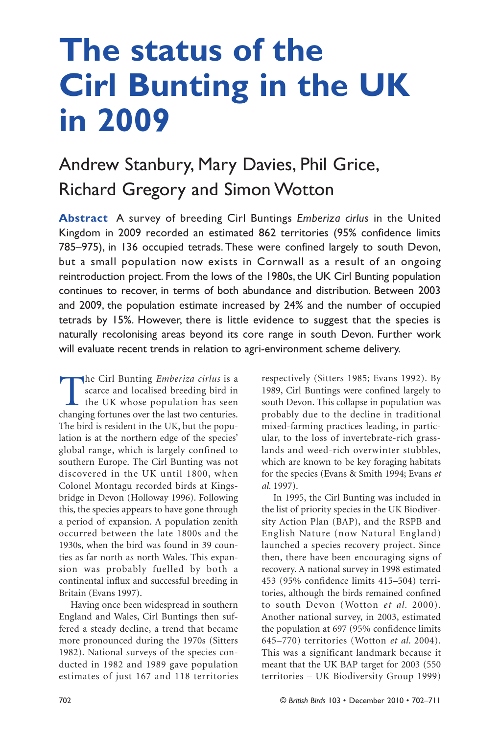# **The status of the Cirl Bunting in the UK in 2009**

# Andrew Stanbury, Mary Davies, Phil Grice, Richard Gregory and Simon Wotton

**Abstract** A survey of breeding Cirl Buntings *Emberiza cirlus* in the United Kingdom in 2009 recorded an estimated 862 territories (95% confidence limits 785–975), in 136 occupied tetrads. These were confined largely to south Devon, but a small population now exists in Cornwall as a result of an ongoing reintroduction project. From the lows of the 1980s, the UK Cirl Bunting population continues to recover, in terms of both abundance and distribution. Between 2003 and 2009, the population estimate increased by 24% and the number of occupied tetrads by 15%. However, there is little evidence to suggest that the species is naturally recolonising areas beyond its core range in south Devon. Further work will evaluate recent trends in relation to agri-environment scheme delivery.

The Cirl Bunting *Emberiza cirlus* is a<br>scarce and localised breeding bird in<br>the UK whose population has seen<br>changing fortunes over the last two centuries scarce and localised breeding bird in changing fortunes over the last two centuries. The bird is resident in the UK, but the population is at the northern edge of the species' global range, which is largely confined to southern Europe. The Cirl Bunting was not discovered in the UK until 1800, when Colonel Montagu recorded birds at Kingsbridge in Devon (Holloway 1996). Following this, the species appears to have gone through a period of expansion. A population zenith occurred between the late 1800s and the 1930s, when the bird was found in 39 counties as far north as north Wales. This expansion was probably fuelled by both a continental influx and successful breeding in Britain (Evans 1997).

Having once been widespread in southern England and Wales, Cirl Buntings then suffered a steady decline, a trend that became more pronounced during the 1970s (Sitters 1982). National surveys of the species conducted in 1982 and 1989 gave population estimates of just 167 and 118 territories

respectively (Sitters 1985; Evans 1992). By 1989, Cirl Buntings were confined largely to south Devon. This collapse in population was probably due to the decline in traditional mixed-farming practices leading, in particular, to the loss of invertebrate-rich grasslands and weed-rich overwinter stubbles, which are known to be key foraging habitats for the species (Evans & Smith 1994; Evans *et al.* 1997).

In 1995, the Cirl Bunting was included in the list of priority species in the UK Biodiversity Action Plan (BAP), and the RSPB and English Nature (now Natural England) launched a species recovery project. Since then, there have been encouraging signs of recovery. A national survey in 1998 estimated 453 (95% confidence limits 415–504) terri tories, although the birds remained confined to south Devon (Wotton *et al.* 2000). Another national survey, in 2003, estimated the population at 697 (95% confidence limits 645–770) territories (Wotton *et al*. 2004). This was a significant landmark because it meant that the UK BAP target for 2003 (550 territories – UK Biodiversity Group 1999)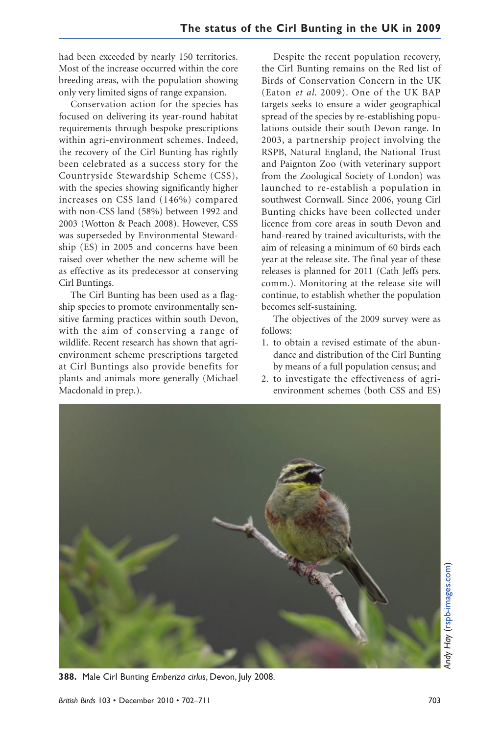had been exceeded by nearly 150 territories. Most of the increase occurred within the core breeding areas, with the population showing only very limited signs of range expansion.

Conservation action for the species has focused on delivering its year-round habitat requirements through bespoke prescriptions within agri-environment schemes. Indeed, the recovery of the Cirl Bunting has rightly been celebrated as a success story for the Countryside Stewardship Scheme (CSS), with the species showing significantly higher increases on CSS land (146%) compared with non-CSS land (58%) between 1992 and 2003 (Wotton & Peach 2008). However, CSS was superseded by Environmental Stewardship (ES) in 2005 and concerns have been raised over whether the new scheme will be as effective as its predecessor at conserving Cirl Buntings.

The Cirl Bunting has been used as a flagship species to promote environmentally sensitive farming practices within south Devon, with the aim of conserving a range of wildlife. Recent research has shown that agrienvironment scheme prescriptions targeted at Cirl Buntings also provide benefits for plants and animals more generally (Michael Macdonald in prep.).

Despite the recent population recovery, the Cirl Bunting remains on the Red list of Birds of Conservation Concern in the UK (Eaton *et al*. 2009). One of the UK BAP targets seeks to ensure a wider geographical spread of the species by re-establishing populations outside their south Devon range. In 2003, a partnership project involving the RSPB, Natural England, the National Trust and Paignton Zoo (with veterinary support from the Zoological Society of London) was launched to re-establish a population in southwest Cornwall. Since 2006, young Cirl Bunting chicks have been collected under licence from core areas in south Devon and hand-reared by trained aviculturists, with the aim of releasing a minimum of 60 birds each year at the release site. The final year of these releases is planned for 2011 (Cath Jeffs pers. comm.). Monitoring at the release site will continue, to establish whether the population becomes self-sustaining.

The objectives of the 2009 survey were as follows:

- 1. to obtain a revised estimate of the abundance and distribution of the Cirl Bunting by means of a full population census; and
- 2. to investigate the effectiveness of agrienvironment schemes (both CSS and ES)



**388.** Male Cirl Bunting *Emberiza cirlus*, Devon, July 2008.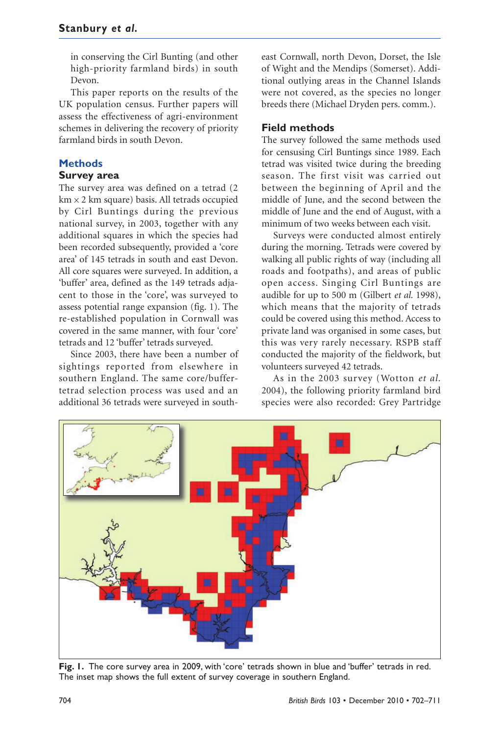in conserving the Cirl Bunting (and other high-priority farmland birds) in south Devon.

This paper reports on the results of the UK population census. Further papers will assess the effectiveness of agri-environment schemes in delivering the recovery of priority farmland birds in south Devon.

### **Methods**

#### **Survey area**

The survey area was defined on a tetrad (2 km x 2 km square) basis. All tetrads occupied by Cirl Buntings during the previous national survey, in 2003, together with any additional squares in which the species had been recorded subsequently, provided a 'core area' of 145 tetrads in south and east Devon. All core squares were surveyed. In addition, a 'buffer' area, defined as the 149 tetrads adjacent to those in the 'core', was surveyed to assess potential range expansion (fig. 1). The re-established population in Cornwall was covered in the same manner, with four 'core' tetrads and 12 'buffer' tetrads surveyed.

Since 2003, there have been a number of sightings reported from elsewhere in southern England. The same core/buffertetrad selection process was used and an additional 36 tetrads were surveyed in southeast Cornwall, north Devon, Dorset, the Isle of Wight and the Mendips (Somerset). Additional outlying areas in the Channel Islands were not covered, as the species no longer breeds there (Michael Dryden pers. comm.).

## **Field methods**

The survey followed the same methods used for censusing Cirl Buntings since 1989. Each tetrad was visited twice during the breeding season. The first visit was carried out between the beginning of April and the middle of June, and the second between the middle of June and the end of August, with a minimum of two weeks between each visit.

Surveys were conducted almost entirely during the morning. Tetrads were covered by walking all public rights of way (including all roads and footpaths), and areas of public open access. Singing Cirl Buntings are audible for up to 500 m (Gilbert *et al.* 1998), which means that the majority of tetrads could be covered using this method. Access to private land was organised in some cases, but this was very rarely necessary. RSPB staff conducted the majority of the fieldwork, but volunteers surveyed 42 tetrads.

As in the 2003 survey (Wotton *et al.* 2004), the following priority farmland bird species were also recorded: Grey Partridge



**Fig. 1.** The core survey area in 2009, with 'core' tetrads shown in blue and 'buffer' tetrads in red. The inset map shows the full extent of survey coverage in southern England.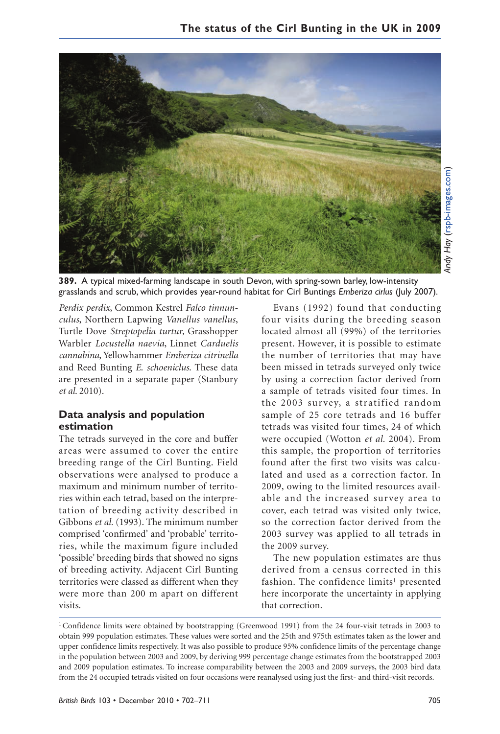

**389.** A typical mixed-farming landscape in south Devon, with spring-sown barley, low-intensity grasslands and scrub, which provides year-round habitat for Cirl Buntings *Emberiza cirlus* (July 2007).

*Perdix perdix*, Common Kestrel *Falco tinnunculus*, Northern Lapwing *Vanellus vanellus*, Turtle Dove *Streptopelia turtur*, Grasshopper Warbler *Locustella naevia*, Linnet *Carduelis cannabina*, Yellowhammer *Emberiza citrinella* and Reed Bunting *E*. *schoeniclus*. These data are presented in a separate paper (Stanbury *et al*. 2010).

### **Data analysis and population estimation**

The tetrads surveyed in the core and buffer areas were assumed to cover the entire breeding range of the Cirl Bunting. Field observations were analysed to produce a maximum and minimum number of territories within each tetrad, based on the interpretation of breeding activity described in Gibbons *et al.* (1993). The minimum number comprised 'confirmed' and 'probable' territories, while the maximum figure included 'possible' breeding birds that showed no signs of breeding activity. Adjacent Cirl Bunting territories were classed as different when they were more than 200 m apart on different visits.

Evans (1992) found that conducting four visits during the breeding season located almost all (99%) of the territories present. However, it is possible to estimate the number of territories that may have been missed in tetrads surveyed only twice by using a correction factor derived from a sample of tetrads visited four times. In the 2003 sur vey, a stratified random sample of 25 core tetrads and 16 buffer tetrads was visited four times, 24 of which were occupied (Wotton *et al.* 2004). From this sample, the proportion of territories found after the first two visits was calculated and used as a correction factor. In 2009, owing to the limited resources available and the increased survey area to cover, each tetrad was visited only twice, so the correction factor derived from the 2003 survey was applied to all tetrads in the 2009 survey.

The new population estimates are thus derived from a census corrected in this fashion. The confidence limits<sup>1</sup> presented here incorporate the uncertainty in applying that correction.

<sup>1</sup>Confidence limits were obtained by bootstrapping (Greenwood 1991) from the 24 four-visit tetrads in 2003 to obtain 999 population estimates. These values were sorted and the 25th and 975th estimates taken as the lower and upper confidence limits respectively. It was also possible to produce 95% confidence limits of the percentage change in the population between 2003 and 2009, by deriving 999 percentage change estimates from the bootstrapped 2003 and 2009 population estimates. To increase comparability between the 2003 and 2009 surveys, the 2003 bird data from the 24 occupied tetrads visited on four occasions were reanalysed using just the first- and third-visit records.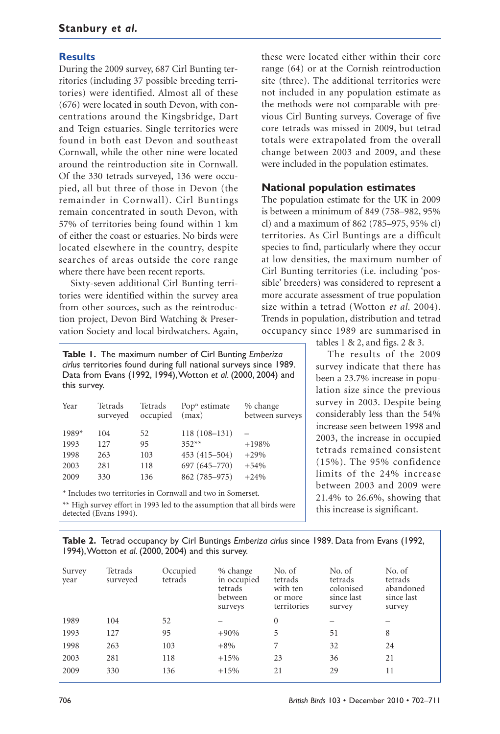#### **Results**

During the 2009 survey, 687 Cirl Bunting territories (including 37 possible breeding territories) were identified. Almost all of these (676) were located in south Devon, with concentrations around the Kingsbridge, Dart and Teign estuaries. Single territories were found in both east Devon and southeast Cornwall, while the other nine were located around the reintroduction site in Cornwall. Of the 330 tetrads surveyed, 136 were occupied, all but three of those in Devon (the remainder in Cornwall). Cirl Buntings remain concentrated in south Devon, with 57% of territories being found within 1 km of either the coast or estuaries. No birds were located elsewhere in the country, despite searches of areas outside the core range where there have been recent reports.

Sixty-seven additional Cirl Bunting territories were identified within the survey area from other sources, such as the reintroduction project, Devon Bird Watching & Preservation Society and local birdwatchers. Again,

**Table 1.** The maximum number of Cirl Bunting *Emberiza cirlus* territories found during full national surveys since 1989. Data from Evans (1992, 1994), Wotton *et al*. (2000, 2004) and this survey.

| Year    | Tetrads<br>surveyed | Tetrads<br>occupied | Pop <sup>n</sup> estimate<br>(max) | % change<br>between surveys |
|---------|---------------------|---------------------|------------------------------------|-----------------------------|
| $1989*$ | 104                 | 52                  | $118(108-131)$                     |                             |
| 1993    | 127                 | 95                  | $352**$                            | $+198%$                     |
| 1998    | 263                 | 103                 | 453 (415-504)                      | $+29%$                      |
| 2003    | 281                 | 118                 | 697 (645-770)                      | $+54%$                      |
| 2009    | 330                 | 136                 | 862 (785-975)                      | $+24%$                      |

\* Includes two territories in Cornwall and two in Somerset. \*\* High survey effort in 1993 led to the assumption that all birds were detected (Evans 1994).

these were located either within their core range (64) or at the Cornish reintroduction site (three). The additional territories were not included in any population estimate as the methods were not comparable with previous Cirl Bunting surveys. Coverage of five core tetrads was missed in 2009, but tetrad totals were extrapolated from the overall change between 2003 and 2009, and these were included in the population estimates.

#### **National population estimates**

The population estimate for the UK in 2009 is between a minimum of 849 (758–982, 95% cl) and a maximum of 862 (785–975, 95% cl) territories. As Cirl Buntings are a difficult species to find, particularly where they occur at low densities, the maximum number of Cirl Bunting territories (i.e. including 'possible' breeders) was considered to represent a more accurate assessment of true population size within a tetrad (Wotton *et al.* 2004). Trends in population, distribution and tetrad occupancy since 1989 are summarised in

tables 1 & 2, and figs. 2 & 3.

The results of the 2009 survey indicate that there has been a 23.7% increase in population size since the previous survey in 2003. Despite being considerably less than the 54% increase seen between 1998 and 2003, the increase in occupied tetrads remained consistent (15%). The 95% confidence limits of the 24% increase between 2003 and 2009 were 21.4% to 26.6%, showing that this increase is significant.

**Table 2.** Tetrad occupancy by Cirl Buntings *Emberiza cirlus* since 1989. Data from Evans (1992, 1994), Wotton *et al*. (2000, 2004) and this survey.

| Survey<br>year | Tetrads<br>surveyed | Occupied<br>tetrads | % change<br>in occupied<br>tetrads<br>between<br>surveys | No. of<br>tetrads<br>with ten<br>or more<br>territories | No. of<br>tetrads<br>colonised<br>since last<br>survey | No. of<br>tetrads<br>abandoned<br>since last<br>survey |
|----------------|---------------------|---------------------|----------------------------------------------------------|---------------------------------------------------------|--------------------------------------------------------|--------------------------------------------------------|
| 1989           | 104                 | 52                  |                                                          | $\theta$                                                |                                                        |                                                        |
| 1993           | 127                 | 95                  | $+90%$                                                   | 5                                                       | 51                                                     | 8                                                      |
| 1998           | 263                 | 103                 | $+8\%$                                                   |                                                         | 32                                                     | 24                                                     |
| 2003           | 281                 | 118                 | $+15%$                                                   | 23                                                      | 36                                                     | 21                                                     |
| 2009           | 330                 | 136                 | $+15%$                                                   | 21                                                      | 29                                                     | 11                                                     |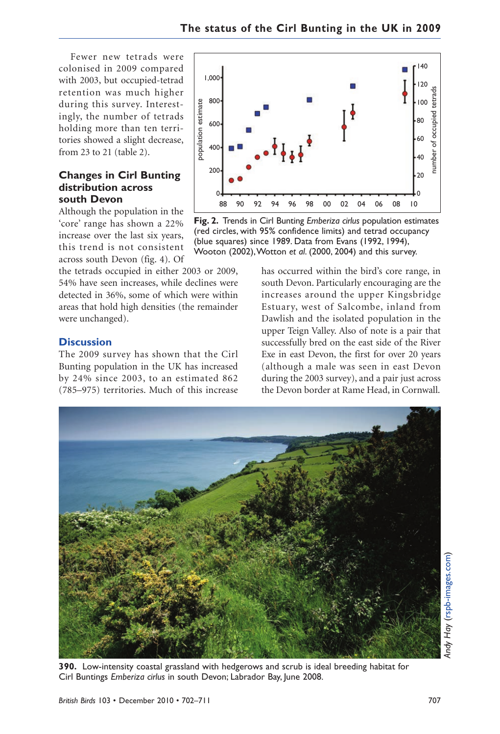Fewer new tetrads were colonised in 2009 compared with 2003, but occupied-tetrad retention was much higher during this survey. Interestingly, the number of tetrads holding more than ten territories showed a slight decrease, from 23 to 21 (table 2).

#### **Changes in Cirl Bunting distribution across south Devon**

Although the population in the 'core' range has shown a 22% increase over the last six years, this trend is not consistent across south Devon (fig. 4). Of

the tetrads occupied in either 2003 or 2009, 54% have seen increases, while declines were detected in 36%, some of which were within areas that hold high densities (the remainder were unchanged).

### **Discussion**

The 2009 survey has shown that the Cirl Bunting population in the UK has increased by 24% since 2003, to an estimated 862 (785–975) territories. Much of this increase



**Fig. 2.** Trends in Cirl Bunting *Emberiza cirlus* population estimates (red circles, with 95% confidence limits) and tetrad occupancy (blue squares) since 1989. Data from Evans (1992, 1994), Wooton (2002), Wotton *et al*. (2000, 2004) and this survey.

has occurred within the bird's core range, in south Devon. Particularly encouraging are the increases around the upper Kingsbridge Estuary, west of Salcombe, inland from Dawlish and the isolated population in the upper Teign Valley. Also of note is a pair that successfully bred on the east side of the River Exe in east Devon, the first for over 20 years (although a male was seen in east Devon during the 2003 survey), and a pair just across the Devon border at Rame Head, in Cornwall.



**390.** Low-intensity coastal grassland with hedgerows and scrub is ideal breeding habitat for Cirl Buntings *Emberiza cirlus* in south Devon; Labrador Bay, June 2008.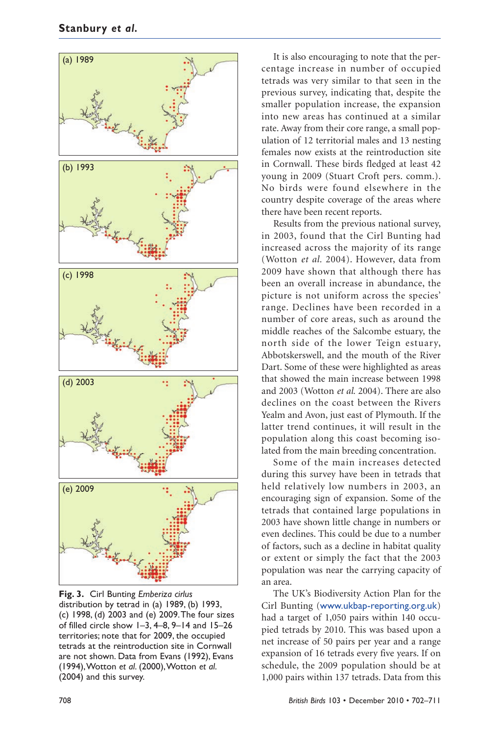

**Fig. 3.** Cirl Bunting *Emberiza cirlus* distribution by tetrad in (a) 1989, (b) 1993, (c) 1998, (d) 2003 and (e) 2009. The four sizes of filled circle show 1–3, 4–8, 9–14 and 15–26 territories; note that for 2009, the occupied tetrads at the reintroduction site in Cornwall are not shown. Data from Evans (1992), Evans (1994), Wotton *et al*. (2000), Wotton *et al*. (2004) and this survey.

It is also encouraging to note that the percentage increase in number of occupied tetrads was very similar to that seen in the previous survey, indicating that, despite the smaller population increase, the expansion into new areas has continued at a similar rate. Away from their core range, a small population of 12 territorial males and 13 nesting females now exists at the reintroduction site in Cornwall. These birds fledged at least 42 young in 2009 (Stuart Croft pers. comm.). No birds were found elsewhere in the country despite coverage of the areas where there have been recent reports.

Results from the previous national survey, in 2003, found that the Cirl Bunting had increased across the majority of its range (Wotton *et al.* 2004). However, data from 2009 have shown that although there has been an overall increase in abundance, the picture is not uniform across the species' range. Declines have been recorded in a number of core areas, such as around the middle reaches of the Salcombe estuary, the north side of the lower Teign estuary, Abbotskerswell, and the mouth of the River Dart. Some of these were highlighted as areas that showed the main increase between 1998 and 2003 (Wotton *et al.* 2004). There are also declines on the coast between the Rivers Yealm and Avon, just east of Plymouth. If the latter trend continues, it will result in the population along this coast becoming isolated from the main breeding concentration.

Some of the main increases detected during this survey have been in tetrads that held relatively low numbers in 2003, an encouraging sign of expansion. Some of the tetrads that contained large populations in 2003 have shown little change in numbers or even declines. This could be due to a number of factors, such as a decline in habitat quality or extent or simply the fact that the 2003 population was near the carrying capacity of an area.

The UK's Biodiversity Action Plan for the Cirl Bunting (www.ukbap-reporting.org.uk) had a target of 1,050 pairs within 140 occupied tetrads by 2010. This was based upon a net increase of 50 pairs per year and a range expansion of 16 tetrads every five years. If on schedule, the 2009 population should be at 1,000 pairs within 137 tetrads. Data from this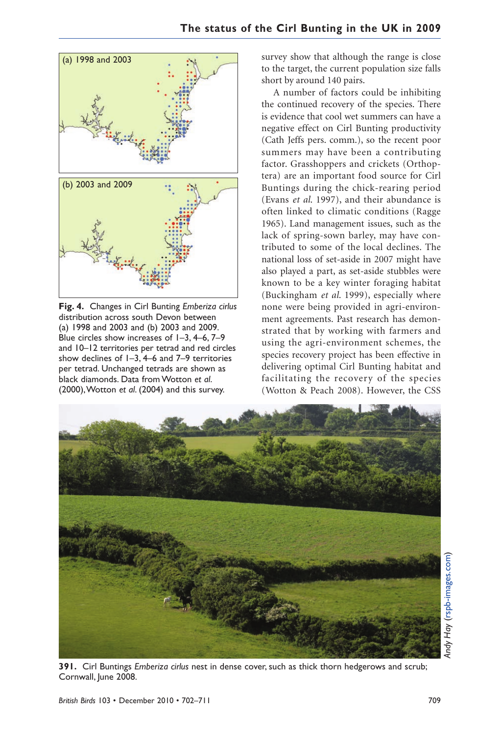

**Fig. 4.** Changes in Cirl Bunting *Emberiza cirlus* distribution across south Devon between (a) 1998 and 2003 and (b) 2003 and 2009. Blue circles show increases of 1–3, 4–6, 7–9 and 10–12 territories per tetrad and red circles show declines of 1–3, 4–6 and 7–9 territories per tetrad. Unchanged tetrads are shown as black diamonds. Data from Wotton *et al*. (2000), Wotton *et al*. (2004) and this survey.

survey show that although the range is close to the target, the current population size falls short by around 140 pairs.

A number of factors could be inhibiting the continued recovery of the species. There is evidence that cool wet summers can have a negative effect on Cirl Bunting productivity (Cath Jeffs pers. comm.), so the recent poor summers may have been a contributing factor. Grasshoppers and crickets (Orthoptera) are an important food source for Cirl Buntings during the chick-rearing period (Evans *et al*. 1997), and their abundance is often linked to climatic conditions (Ragge 1965). Land management issues, such as the lack of spring-sown barley, may have contributed to some of the local declines. The national loss of set-aside in 2007 might have also played a part, as set-aside stubbles were known to be a key winter foraging habitat (Buckingham *et al*. 1999), especially where none were being provided in agri-environment agreements. Past research has demonstrated that by working with farmers and using the agri-environment schemes, the species recovery project has been effective in delivering optimal Cirl Bunting habitat and facilitating the recovery of the species (Wotton & Peach 2008). However, the CSS



**391.** Cirl Buntings *Emberiza cirlus* nest in dense cover, such as thick thorn hedgerows and scrub; Cornwall, June 2008.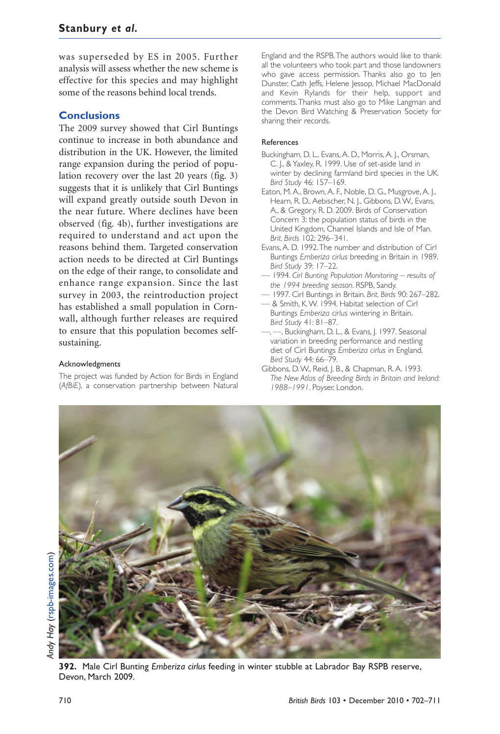was superseded by ES in 2005. Further analysis will assess whether the new scheme is effective for this species and may highlight some of the reasons behind local trends.

#### **Conclusions**

The 2009 survey showed that Cirl Buntings continue to increase in both abundance and distribution in the UK. However, the limited range expansion during the period of population recovery over the last 20 years (fig. 3) suggests that it is unlikely that Cirl Buntings will expand greatly outside south Devon in the near future. Where declines have been observed (fig. 4b), further investigations are required to understand and act upon the reasons behind them. Targeted conservation action needs to be directed at Cirl Buntings on the edge of their range, to consolidate and enhance range expansion. Since the last survey in 2003, the reintroduction project has established a small population in Cornwall, although further releases are required to ensure that this population becomes selfsustaining.

#### Acknowledgments

The project was funded by Action for Birds in England (*AfBiE*), a conservation partnership between Natural England and the RSPB. The authors would like to thank all the volunteers who took part and those landowners who gave access permission. Thanks also go to Jen Dunster, Cath Jeffs, Helene Jessop, Michael MacDonald and Kevin Rylands for their help, support and comments. Thanks must also go to Mike Langman and the Devon Bird Watching & Preservation Society for sharing their records.

#### References

- Buckingham, D. L., Evans, A. D., Morris, A. J., Orsman, C. J., & Yaxley, R. 1999. Use of set-aside land in winter by declining farmland bird species in the UK. *Bird Study* 46: 157–169.
- Eaton, M. A., Brown, A. F., Noble, D. G., Musgrove, A. J., Hearn, R. D., Aebischer, N. J., Gibbons, D. W., Evans, A., & Gregory, R. D. 2009. Birds of Conservation Concern 3: the population status of birds in the United Kingdom, Channel Islands and Isle of Man. *Brit. Birds* 102: 296–341.
- Evans, A. D. 1992. The number and distribution of Cirl Buntings *Emberiza cirlus* breeding in Britain in 1989. *Bird Study* 39: 17–22.
- 1994. *Cirl Bunting Population Monitoring results of the 1994 breeding season*. RSPB, Sandy.
- 1997. Cirl Buntings in Britain. *Brit. Birds* 90: 267–282.
- & Smith, K. W. 1994. Habitat selection of Cirl Buntings *Emberiza cirlus* wintering in Britain. *Bird Study* 41: 81–87.
- —, —, Buckingham, D. L., & Evans, J. 1997. Seasonal variation in breeding performance and nestling diet of Cirl Buntings *Emberiza cirlus* in England. *Bird Study* 44: 66–79.
- Gibbons, D. W., Reid, J. B., & Chapman, R. A. 1993. *The New Atlas of Breeding Birds in Britain and Ireland: 1988–1991*. Poyser, London.



**392.** Male Cirl Bunting *Emberiza cirlus* feeding in winter stubble at Labrador Bay RSPB reserve, Devon, March 2009.